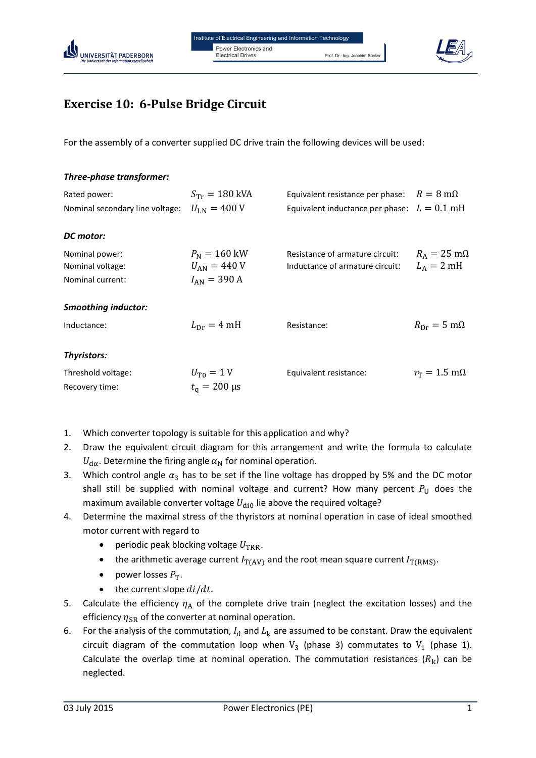



## **Exercise 10: 6-Pulse Bridge Circuit**

For the assembly of a converter supplied DC drive train the following devices will be used:

| Three-phase transformer:        |                                   |                                                          |                                |
|---------------------------------|-----------------------------------|----------------------------------------------------------|--------------------------------|
| Rated power:                    | $S_{\text{Tr}} = 180 \text{ kVA}$ | Equivalent resistance per phase: $R = 8 \text{ m}\Omega$ |                                |
| Nominal secondary line voltage: | $U_{LM} = 400 V$                  | Equivalent inductance per phase: $L = 0.1$ mH            |                                |
| DC motor:                       |                                   |                                                          |                                |
| Nominal power:                  | $P_{N} = 160$ kW                  | Resistance of armature circuit:                          | $R_A = 25$ m $\Omega$          |
| Nominal voltage:                | $U_{AN} = 440 V$                  | Inductance of armature circuit:                          | $L_A = 2 \text{ mH}$           |
| Nominal current:                | $I_{AN} = 390 A$                  |                                                          |                                |
| <b>Smoothing inductor:</b>      |                                   |                                                          |                                |
| Inductance:                     | $L_{\text{Dr}} = 4 \text{ mH}$    | Resistance:                                              | $R_{\rm Dr} = 5 \,\rm m\Omega$ |
| <b>Thyristors:</b>              |                                   |                                                          |                                |
| Threshold voltage:              | $U_{\rm T0} = 1$ V                | Equivalent resistance:                                   | $r_{\rm T} = 1.5$ m $\Omega$   |
| Recovery time:                  | $t_{\rm o} = 200 \,\rm \mu s$     |                                                          |                                |

- 1. Which converter topology is suitable for this application and why?
- 2. Draw the equivalent circuit diagram for this arrangement and write the formula to calculate  $U_{\text{d}\alpha}$ . Determine the firing angle  $\alpha_N$  for nominal operation.
- 3. Which control angle  $\alpha_3$  has to be set if the line voltage has dropped by 5% and the DC motor shall still be supplied with nominal voltage and current? How many percent  $P_U$  does the maximum available converter voltage  $U_{\text{dip}}$  lie above the required voltage?
- 4. Determine the maximal stress of the thyristors at nominal operation in case of ideal smoothed motor current with regard to
	- periodic peak blocking voltage  $U_{\text{TRR}}$ .
	- the arithmetic average current  $I_{\text{T(AV)}}$  and the root mean square current  $I_{\text{T(RMS)}}$ .
	- power losses  $P_T$ .
	- $\bullet$  the current slope  $di/dt$ .
- 5. Calculate the efficiency  $\eta_A$  of the complete drive train (neglect the excitation losses) and the efficiency  $\eta_{\rm SR}$  of the converter at nominal operation.
- 6. For the analysis of the commutation,  $I_d$  and  $L_k$  are assumed to be constant. Draw the equivalent circuit diagram of the commutation loop when  $V_3$  (phase 3) commutates to  $V_1$  (phase 1). Calculate the overlap time at nominal operation. The commutation resistances  $(R_k)$  can be neglected.